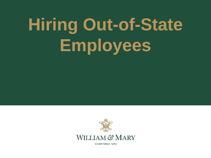# **Hiring Out-of-State Employees**



CHARTERED 1693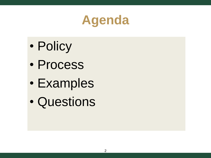# **Agenda**

- Policy
- Process
- Examples
- Questions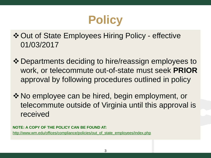# **Policy**

Out of State Employees Hiring Policy - effective 01/03/2017

- Departments deciding to hire/reassign employees to work, or telecommute out-of-state must seek **PRIOR** approval by following procedures outlined in policy
- ◆ No employee can be hired, begin employment, or telecommute outside of Virginia until this approval is received

**NOTE: A COPY OF THE POLICY CAN BE FOUND AT:** [http://www.wm.edu/offices/compliance/policies/out\\_of\\_state\\_employees/index.php](http://www.wm.edu/offices/compliance/policies/out_of_state_employees/index.php)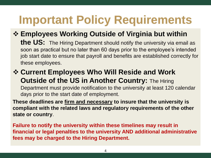# **Important Policy Requirements**

#### **Employees Working Outside of Virginia but within the US:** The Hiring Department should notify the university via email as soon as practical but no later than 60 days prior to the employee's intended job start date to ensure that payroll and benefits are established correctly for these employees.

#### **Current Employees Who Will Reside and Work Outside of the US in Another Country: The Hiring** Department must provide notification to the university at least 120 calendar days prior to the start date of employment.

**These deadlines are firm and necessary to insure that the university is compliant with the related laws and regulatory requirements of the other state or country**.

**Failure to notify the university within these timelines may result in financial or legal penalties to the university AND additional administrative fees may be charged to the Hiring Department.**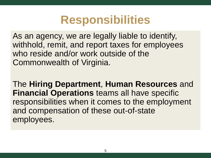### **Responsibilities**

As an agency, we are legally liable to identify, withhold, remit, and report taxes for employees who reside and/or work outside of the Commonwealth of Virginia.

The **Hiring Department**, **Human Resources** and **Financial Operations** teams all have specific responsibilities when it comes to the employment and compensation of these out-of-state employees.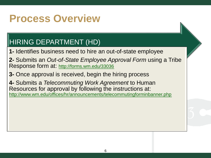### **Process Overview**

### HIRING DEPARTMENT (HD)

**1-** Identifies business need to hire an out-of-state employee

**2-** Submits an *Out-of-State Employee Approval Form* using a Tribe Response form at: <http://forms.wm.edu/33036>

**3-** Once approval is received, begin the hiring process

**4-** Submits a *Telecommuting Work Agreement* to Human Resources for approval by following the instructions at: <http://www.wm.edu/offices/hr/announcements/telecommutingforminbanner.php>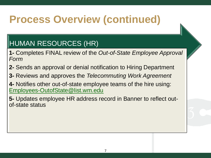### HUMAN RESOURCES (HR)

- **1-** Completes FINAL review of the *Out-of-State Employee Approval Form*
- **2-** Sends an approval or denial notification to Hiring Department
- **3-** Reviews and approves the *Telecommuting Work Agreement*
- **4-** Notifies other out-of-state employee teams of the hire using: [Employees-OutofState@list.wm.edu](mailto:Employees-OutofState@list.wm.edu)
- **5-** Updates employee HR address record in Banner to reflect outof-state status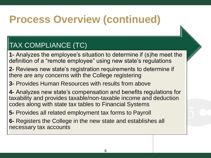### TAX COMPLIANCE (TC)

- **1-** Analyzes the employee's situation to determine if (s)he meet the definition of a "remote employee" using new state's regulations
- **2-** Reviews new state's registration requirements to determine if there are any concerns with the College registering
- **3-** Provides Human Resources with results from above
- **4-** Analyzes new state's compensation and benefits regulations for taxability and provides taxable/non-taxable income and deduction codes along with state tax tables to Financial Systems
- **5-** Provides all related employment tax forms to Payroll
- **6-** Registers the College in the new state and establishes all necessary tax accounts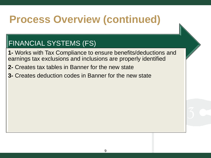### FINANCIAL SYSTEMS (FS)

- **1-** Works with Tax Compliance to ensure benefits/deductions and earnings tax exclusions and inclusions are properly identified
- **2-** Creates tax tables in Banner for the new state
- **3-** Creates deduction codes in Banner for the new state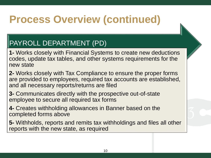### PAYROLL DEPARTMENT (PD)

- **1-** Works closely with Financial Systems to create new deductions codes, update tax tables, and other systems requirements for the new state
- **2-** Works closely with Tax Compliance to ensure the proper forms are provided to employees, required tax accounts are established, and all necessary reports/returns are filed
- **3-** Communicates directly with the prospective out-of-state employee to secure all required tax forms
- **4-** Creates withholding allowances in Banner based on the completed forms above
- **5-** Withholds, reports and remits tax withholdings and files all other reports with the new state, as required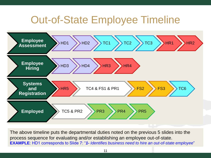### Out-of-State Employee Timeline



The above timeline puts the departmental duties noted on the previous 5 slides into the process sequence for evaluating and/or establishing an employee out-of-state. **EXAMPLE**: HD1 corresponds to Slide 7: "*1- Identifies business need to hire an out-of-state employee*"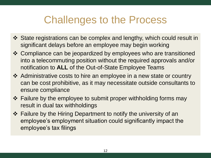### Challenges to the Process

- State registrations can be complex and lengthy, which could result in significant delays before an employee may begin working
- Compliance can be jeopardized by employees who are transitioned into a telecommuting position without the required approvals and/or notification to **ALL** of the Out-of-State Employee Teams
- Administrative costs to hire an employee in a new state or country can be cost prohibitive, as it may necessitate outside consultants to ensure compliance
- ❖ Failure by the employee to submit proper withholding forms may result in dual tax withholdings
- Failure by the Hiring Department to notify the university of an employee's employment situation could significantly impact the employee's tax filings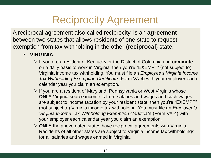### Reciprocity Agreement

A reciprocal agreement also called reciprocity, is an **agreement** between two states that allows residents of one state to request exemption from tax withholding in the other (**reciprocal**) state.

#### **VIRGINIA:**

- If you are a resident of Kentucky or the District of Columbia and **commute** on a daily basis to work in Virginia, then you're "EXEMPT" (not subject to) Virginia income tax withholding. You must file an *Employee's Virginia Income Tax Withholding Exemption Certificate* (Form VA-4) with your employer each calendar year you claim an exemption.
- $\triangleright$  If you are a resident of Maryland, Pennsylvania or West Virginia whose **ONLY** Virginia source income is from salaries and wages and such wages are subject to income taxation by your resident state, then you're "EXEMPT" (not subject to) Virginia income tax withholding. You must file an *Employee's Virginia Income Tax Withholding Exemption Certificate* (Form VA-4) with your employer each calendar year you claim an exemption.
- **ONLY** the above noted states have reciprocal agreements with Virginia. Residents of all other states are subject to Virginia income tax withholdings for all salaries and wages earned in Virginia.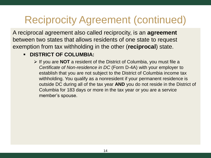# Reciprocity Agreement (continued)

A reciprocal agreement also called reciprocity, is an **agreement** between two states that allows residents of one state to request exemption from tax withholding in the other (**reciprocal**) state.

#### **EDISTRICT OF COLUMBIA:**

 If you are **NOT** a resident of the District of Columbia, you must file a *Certificate of Non-residence in DC* (Form D-4A) with your employer to establish that you are not subject to the District of Columbia income tax withholding. You qualify as a nonresident if your permanent residence is outside DC during all of the tax year **AND** you do not reside in the District of Columbia for 183 days or more in the tax year or you are a service member's spouse.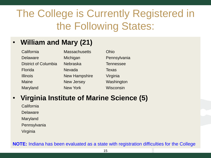# The College is Currently Registered in the Following States:

### • **William and Mary (21)**

| <b>Massachusetts</b> | Ohio             |
|----------------------|------------------|
| Michigan             | Pennsylvania     |
| <b>Nebraska</b>      | <b>Tennessee</b> |
| <b>Nevada</b>        | <b>Texas</b>     |
| <b>New Hampshire</b> | Virginia         |
| <b>New Jersey</b>    | Washington       |
| <b>New York</b>      | <b>Wisconsin</b> |
|                      |                  |

#### • **Virginia Institute of Marine Science (5)**

California Delaware Maryland **Pennsylvania** Virginia

**NOTE:** Indiana has been evaluated as a state with registration difficulties for the College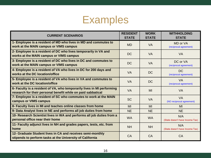### Examples

| <b>CURRENT SCENARIOS</b>                                                                                                               | <b>RESIDENT</b><br><b>STATE</b> | <b>WORK</b><br><b>STATE</b> | <b>WITHHOLDING</b><br><b>STATE</b>     |
|----------------------------------------------------------------------------------------------------------------------------------------|---------------------------------|-----------------------------|----------------------------------------|
| 1- Employee is a resident of MD who lives in MD and commutes to<br>work at the MAIN campus or VIMS campus                              | <b>MD</b>                       | <b>VA</b>                   | MD or VA<br>(reciprocal agreement)     |
| 2- Employee is a resident of DC who lives temporarily in VA and<br>works at the MAIN campus or VIMS campus                             | <b>DC</b>                       | <b>VA</b>                   | <b>VA</b>                              |
| 3- Employee is a resident of DC who lives in DC and commutes to<br>work at the MAIN campus or VIMS campus                              | <b>DC</b>                       | <b>VA</b>                   | DC or VA<br>(reciprocal agreement)     |
| 4- Employee is a resident of VA who lives in DC for 200 days and<br>works at the DC location/office                                    | <b>VA</b>                       | <b>DC</b>                   | <b>DC</b><br>(reciprocal agreement)    |
| 5- Employee is a resident of VA who lives in VA and commutes to<br>work at the DC location/office                                      | <b>VA</b>                       | <b>DC</b>                   | <b>VA</b><br>(reciprocal agreement)    |
| 6- Faculty is a resident of VA, who temporarily lives in MI performing<br>research for their personal benefit while on paid sabbatical | <b>VA</b>                       | MI                          | <b>VA</b>                              |
| 7- Employee is a resident of SC who commutes to work at the MAIN<br>campus or VIMS campus                                              | <b>SC</b>                       | <b>VA</b>                   | <b>VA</b><br>(NO reciprocal agreement) |
| 8- Faculty lives in MI and teaches online classes from home                                                                            | MI                              | MI                          | MI                                     |
| 9- Data Analyst lives in NE and performs all job duties from home                                                                      | <b>NE</b>                       | <b>NE</b>                   | <b>NE</b>                              |
| 10- Research Scientist lives in WA and performs all job duties from a<br>personal office near their home                               | <b>WA</b>                       | <b>WA</b>                   | N/A<br>(State doesn't have Income Tax) |
| 11- Faculty adjunct lives in NH and grades papers, tests, etc. from<br>home                                                            | <b>NH</b>                       | <b>NH</b>                   | N/A<br>(State doesn't have Income Tax) |
| 12- Graduate Student lives in CA and receives semi-monthly<br>stipends to perform tasks at the University of California                | CA                              | CA                          | CA                                     |